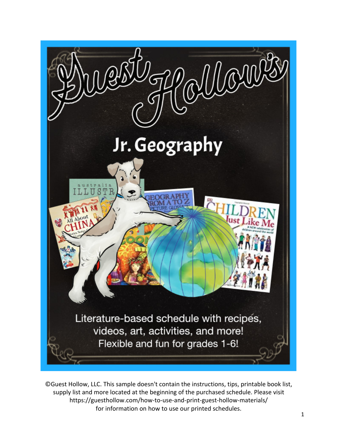

©Guest Hollow, LLC. This sample doesn't contain the instructions, tips, printable book list, supply list and more located at the beginning of the purchased schedule. Please visit https://guesthollow.com/how-to-use-and-print-guest-hollow-materials/ for information on how to use our printed schedules.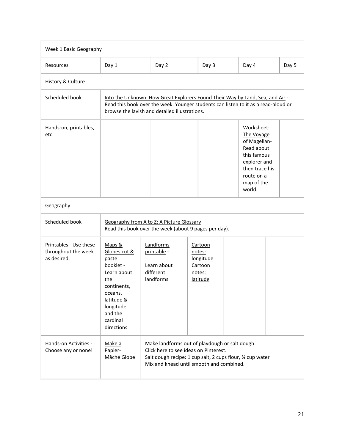| Week 1 Basic Geography                                       |                                                                                                                                                                                                                      |                                                                                                                                                                                                 |                                                                 |                                                                                                                                               |       |  |
|--------------------------------------------------------------|----------------------------------------------------------------------------------------------------------------------------------------------------------------------------------------------------------------------|-------------------------------------------------------------------------------------------------------------------------------------------------------------------------------------------------|-----------------------------------------------------------------|-----------------------------------------------------------------------------------------------------------------------------------------------|-------|--|
| Resources                                                    | Day 1                                                                                                                                                                                                                | Day 2                                                                                                                                                                                           | Day 3                                                           | Day 4                                                                                                                                         | Day 5 |  |
| History & Culture                                            |                                                                                                                                                                                                                      |                                                                                                                                                                                                 |                                                                 |                                                                                                                                               |       |  |
| Scheduled book                                               | Into the Unknown: How Great Explorers Found Their Way by Land, Sea, and Air -<br>Read this book over the week. Younger students can listen to it as a read-aloud or<br>browse the lavish and detailed illustrations. |                                                                                                                                                                                                 |                                                                 |                                                                                                                                               |       |  |
| Hands-on, printables,<br>etc.                                |                                                                                                                                                                                                                      |                                                                                                                                                                                                 |                                                                 | Worksheet:<br>The Voyage<br>of Magellan-<br>Read about<br>this famous<br>explorer and<br>then trace his<br>route on a<br>map of the<br>world. |       |  |
| Geography                                                    |                                                                                                                                                                                                                      |                                                                                                                                                                                                 |                                                                 |                                                                                                                                               |       |  |
| Scheduled book                                               | Geography from A to Z: A Picture Glossary<br>Read this book over the week (about 9 pages per day).                                                                                                                   |                                                                                                                                                                                                 |                                                                 |                                                                                                                                               |       |  |
| Printables - Use these<br>throughout the week<br>as desired. | Maps &<br>Globes cut &<br>paste<br>booklet -<br>Learn about<br>the<br>continents,<br>oceans,<br>latitude &<br>longitude<br>and the<br>cardinal<br>directions                                                         | Landforms<br>printable -<br>Learn about<br>different<br>landforms                                                                                                                               | Cartoon<br>notes:<br>longitude<br>Cartoon<br>notes:<br>latitude |                                                                                                                                               |       |  |
| Hands-on Activities -<br>Choose any or none!                 | Make a<br>Papier-<br>Mâché Globe                                                                                                                                                                                     | Make landforms out of playdough or salt dough.<br>Click here to see ideas on Pinterest.<br>Salt dough recipe: 1 cup salt, 2 cups flour, % cup water<br>Mix and knead until smooth and combined. |                                                                 |                                                                                                                                               |       |  |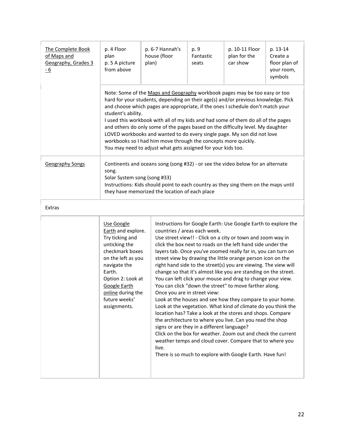| The Complete Book<br>of Maps and<br>Geography, Grades 3<br><u>- 6</u> | p. 4 Floor<br>plan<br>p. 5 A picture<br>from above                                                                                                                                                                                                                                                                                                                                                                                                                                                                                                                                                                                                            | p. 6-7 Hannah's<br>house (floor<br>plan)                                                                                                                                                                                                                                                                                                                                                                                                                                                                                                                                                                                                                                                                                                                                                                                                                                                                                                                                                                                                                                                                                                                            | p. 9<br>Fantastic<br>seats | p. 10-11 Floor<br>plan for the<br>car show | p. 13-14<br>Create a<br>floor plan of<br>your room,<br>symbols |  |
|-----------------------------------------------------------------------|---------------------------------------------------------------------------------------------------------------------------------------------------------------------------------------------------------------------------------------------------------------------------------------------------------------------------------------------------------------------------------------------------------------------------------------------------------------------------------------------------------------------------------------------------------------------------------------------------------------------------------------------------------------|---------------------------------------------------------------------------------------------------------------------------------------------------------------------------------------------------------------------------------------------------------------------------------------------------------------------------------------------------------------------------------------------------------------------------------------------------------------------------------------------------------------------------------------------------------------------------------------------------------------------------------------------------------------------------------------------------------------------------------------------------------------------------------------------------------------------------------------------------------------------------------------------------------------------------------------------------------------------------------------------------------------------------------------------------------------------------------------------------------------------------------------------------------------------|----------------------------|--------------------------------------------|----------------------------------------------------------------|--|
|                                                                       | Note: Some of the Maps and Geography workbook pages may be too easy or too<br>hard for your students, depending on their age(s) and/or previous knowledge. Pick<br>and choose which pages are appropriate, if the ones I schedule don't match your<br>student's ability.<br>I used this workbook with all of my kids and had some of them do all of the pages<br>and others do only some of the pages based on the difficulty level. My daughter<br>LOVED workbooks and wanted to do every single page. My son did not love<br>workbooks so I had him move through the concepts more quickly.<br>You may need to adjust what gets assigned for your kids too. |                                                                                                                                                                                                                                                                                                                                                                                                                                                                                                                                                                                                                                                                                                                                                                                                                                                                                                                                                                                                                                                                                                                                                                     |                            |                                            |                                                                |  |
| <b>Geography Songs</b>                                                | Continents and oceans song (song #32) - or see the video below for an alternate<br>song.<br>Solar System song (song #33)<br>Instructions: Kids should point to each country as they sing them on the maps until<br>they have memorized the location of each place                                                                                                                                                                                                                                                                                                                                                                                             |                                                                                                                                                                                                                                                                                                                                                                                                                                                                                                                                                                                                                                                                                                                                                                                                                                                                                                                                                                                                                                                                                                                                                                     |                            |                                            |                                                                |  |
| Extras                                                                |                                                                                                                                                                                                                                                                                                                                                                                                                                                                                                                                                                                                                                                               |                                                                                                                                                                                                                                                                                                                                                                                                                                                                                                                                                                                                                                                                                                                                                                                                                                                                                                                                                                                                                                                                                                                                                                     |                            |                                            |                                                                |  |
|                                                                       | Use Google<br>Earth and explore.<br>Try ticking and<br>unticking the<br>checkmark boxes<br>on the left as you<br>navigate the<br>Earth.<br>Option 2: Look at<br><b>Google Earth</b><br>online during the<br>future weeks'<br>assignments.                                                                                                                                                                                                                                                                                                                                                                                                                     | Instructions for Google Earth: Use Google Earth to explore the<br>countries / areas each week.<br>Use street view!! - Click on a city or town and zoom way in<br>click the box next to roads on the left hand side under the<br>layers tab. Once you've zoomed really far in, you can turn on<br>street view by drawing the little orange person icon on the<br>right hand side to the street(s) you are viewing. The view will<br>change so that it's almost like you are standing on the street.<br>You can left click your mouse and drag to change your view.<br>You can click "down the street" to move farther along.<br>Once you are in street view:<br>Look at the houses and see how they compare to your home.<br>Look at the vegetation. What kind of climate do you think the<br>location has? Take a look at the stores and shops. Compare<br>the architecture to where you live. Can you read the shop<br>signs or are they in a different language?<br>Click on the box for weather. Zoom out and check the current<br>weather temps and cloud cover. Compare that to where you<br>live.<br>There is so much to explore with Google Earth. Have fun! |                            |                                            |                                                                |  |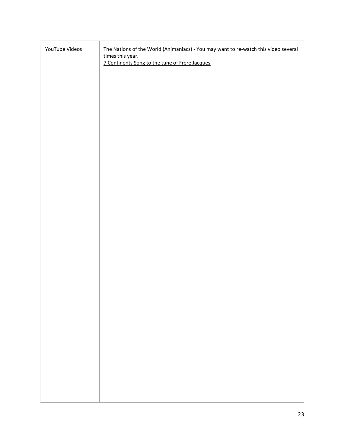| YouTube Videos | The Nations of the World (Animaniacs) - You may want to re-watch this video several<br>times this year. |  |  |  |  |
|----------------|---------------------------------------------------------------------------------------------------------|--|--|--|--|
|                | 7 Continents Song to the tune of Frère Jacques                                                          |  |  |  |  |
|                |                                                                                                         |  |  |  |  |
|                |                                                                                                         |  |  |  |  |
|                |                                                                                                         |  |  |  |  |
|                |                                                                                                         |  |  |  |  |
|                |                                                                                                         |  |  |  |  |
|                |                                                                                                         |  |  |  |  |
|                |                                                                                                         |  |  |  |  |
|                |                                                                                                         |  |  |  |  |
|                |                                                                                                         |  |  |  |  |
|                |                                                                                                         |  |  |  |  |
|                |                                                                                                         |  |  |  |  |
|                |                                                                                                         |  |  |  |  |
|                |                                                                                                         |  |  |  |  |
|                |                                                                                                         |  |  |  |  |
|                |                                                                                                         |  |  |  |  |
|                |                                                                                                         |  |  |  |  |
|                |                                                                                                         |  |  |  |  |
|                |                                                                                                         |  |  |  |  |
|                |                                                                                                         |  |  |  |  |
|                |                                                                                                         |  |  |  |  |
|                |                                                                                                         |  |  |  |  |
|                |                                                                                                         |  |  |  |  |
|                |                                                                                                         |  |  |  |  |
|                |                                                                                                         |  |  |  |  |
|                |                                                                                                         |  |  |  |  |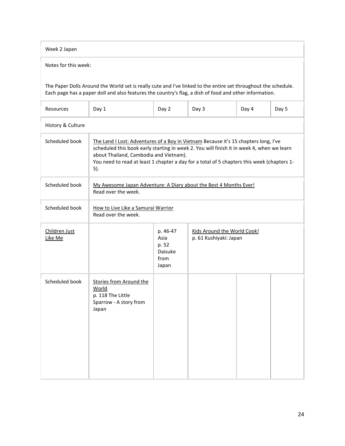| Week 2 Japan                                                                                                                                                                                                                                                                                                                                      |                                                                                                 |                                                       |                                                       |       |       |  |  |
|---------------------------------------------------------------------------------------------------------------------------------------------------------------------------------------------------------------------------------------------------------------------------------------------------------------------------------------------------|-------------------------------------------------------------------------------------------------|-------------------------------------------------------|-------------------------------------------------------|-------|-------|--|--|
| Notes for this week:                                                                                                                                                                                                                                                                                                                              |                                                                                                 |                                                       |                                                       |       |       |  |  |
| The Paper Dolls Around the World set is really cute and I've linked to the entire set throughout the schedule.<br>Each page has a paper doll and also features the country's flag, a dish of food and other information.                                                                                                                          |                                                                                                 |                                                       |                                                       |       |       |  |  |
| Resources                                                                                                                                                                                                                                                                                                                                         | Day 1                                                                                           | Day 2                                                 | Day 3                                                 | Day 4 | Day 5 |  |  |
| History & Culture                                                                                                                                                                                                                                                                                                                                 |                                                                                                 |                                                       |                                                       |       |       |  |  |
| Scheduled book<br>The Land I Lost: Adventures of a Boy in Vietnam Because it's 15 chapters long, I've<br>scheduled this book early starting in week 2. You will finish it in week 4, when we learn<br>about Thailand, Cambodia and Vietnam).<br>You need to read at least 1 chapter a day for a total of 5 chapters this week (chapters 1-<br>5). |                                                                                                 |                                                       |                                                       |       |       |  |  |
| Scheduled book                                                                                                                                                                                                                                                                                                                                    | My Awesome Japan Adventure: A Diary about the Best 4 Months Ever!<br>Read over the week.        |                                                       |                                                       |       |       |  |  |
| Scheduled book                                                                                                                                                                                                                                                                                                                                    | How to Live Like a Samurai Warrior<br>Read over the week.                                       |                                                       |                                                       |       |       |  |  |
| Children Just<br>Like Me                                                                                                                                                                                                                                                                                                                          |                                                                                                 | p. 46-47<br>Asia<br>p. 52<br>Daisuke<br>from<br>Japan | Kids Around the World Cook!<br>p. 61 Kushiyaki: Japan |       |       |  |  |
| Scheduled book                                                                                                                                                                                                                                                                                                                                    | <b>Stories from Around the</b><br>World<br>p. 118 The Little<br>Sparrow - A story from<br>Japan |                                                       |                                                       |       |       |  |  |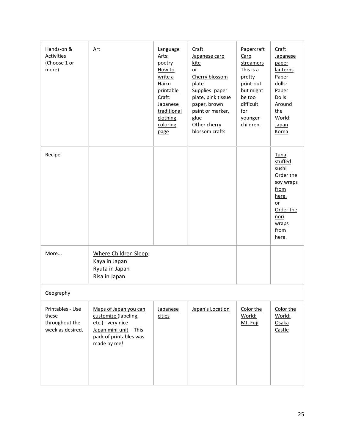| Hands-on &<br>Activities<br>(Choose 1 or<br>more)               | Art                                                                                                                                   | Language<br>Arts:<br>poetry<br>How to<br>write a<br>Haiku<br>printable<br>Craft:<br>Japanese<br>traditional<br>clothing<br>coloring<br>page | Craft<br>Japanese carp<br><u>kite</u><br>or<br>Cherry blossom<br>plate<br>Supplies: paper<br>plate, pink tissue<br>paper, brown<br>paint or marker,<br>glue<br>Other cherry<br>blossom crafts | Papercraft<br>Carp<br>streamers<br>This is a<br>pretty<br>print-out<br>but might<br>be too<br>difficult<br>for<br>younger<br>children. | Craft<br><b>Japanese</b><br>paper<br>lanterns<br>Paper<br>dolls:<br>Paper<br>Dolls<br>Around<br>the<br>World:<br><b>Japan</b><br>Korea  |  |
|-----------------------------------------------------------------|---------------------------------------------------------------------------------------------------------------------------------------|---------------------------------------------------------------------------------------------------------------------------------------------|-----------------------------------------------------------------------------------------------------------------------------------------------------------------------------------------------|----------------------------------------------------------------------------------------------------------------------------------------|-----------------------------------------------------------------------------------------------------------------------------------------|--|
| Recipe                                                          |                                                                                                                                       |                                                                                                                                             |                                                                                                                                                                                               |                                                                                                                                        | Tuna<br>stuffed<br>sushi<br>Order the<br>soy wraps<br>from<br>here.<br>or<br>Order the<br><u>nori</u><br>wraps<br>from<br><u>here</u> . |  |
| More                                                            | Where Children Sleep:<br>Kaya in Japan<br>Ryuta in Japan<br>Risa in Japan                                                             |                                                                                                                                             |                                                                                                                                                                                               |                                                                                                                                        |                                                                                                                                         |  |
| Geography                                                       |                                                                                                                                       |                                                                                                                                             |                                                                                                                                                                                               |                                                                                                                                        |                                                                                                                                         |  |
| Printables - Use<br>these<br>throughout the<br>week as desired. | Maps of Japan you can<br>customize (labeling,<br>etc.) - very nice<br>Japan mini-unit - This<br>pack of printables was<br>made by me! | Japanese<br>cities                                                                                                                          | Japan's Location                                                                                                                                                                              | Color the<br>World:<br>Mt. Fuji                                                                                                        | Color the<br>World:<br>Osaka<br>Castle                                                                                                  |  |